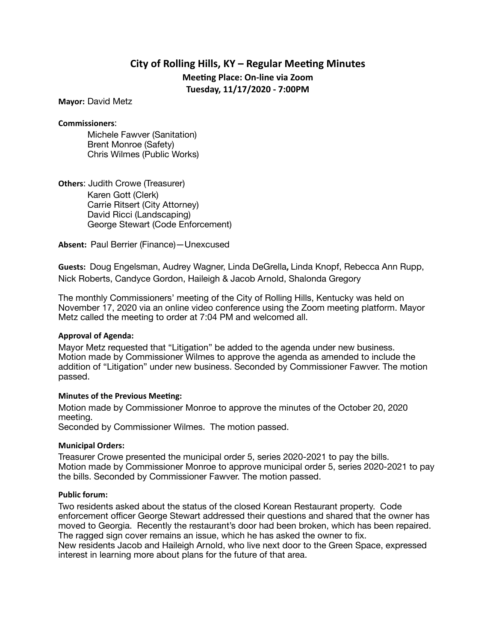# **City of Rolling Hills, KY – Regular Meeting Minutes Meeting Place: On-line via Zoom Tuesday, 11/17/2020 - 7:00PM**

**Mayor:** David Metz

**Commissioners**:

Michele Fawver (Sanitation) Brent Monroe (Safety) Chris Wilmes (Public Works)

**Others**: Judith Crowe (Treasurer)

Karen Gott (Clerk) Carrie Ritsert (City Attorney) David Ricci (Landscaping) George Stewart (Code Enforcement)

**Absent:** Paul Berrier (Finance)—Unexcused

**Guests:** Doug Engelsman, Audrey Wagner, Linda DeGrella**,** Linda Knopf, Rebecca Ann Rupp, Nick Roberts, Candyce Gordon, Haileigh & Jacob Arnold, Shalonda Gregory

The monthly Commissioners' meeting of the City of Rolling Hills, Kentucky was held on November 17, 2020 via an online video conference using the Zoom meeting platform. Mayor Metz called the meeting to order at 7:04 PM and welcomed all.

#### **Approval of Agenda:**

Mayor Metz requested that "Litigation" be added to the agenda under new business. Motion made by Commissioner Wilmes to approve the agenda as amended to include the addition of "Litigation" under new business. Seconded by Commissioner Fawver. The motion passed.

#### **Minutes of the Previous Meeting:**

Motion made by Commissioner Monroe to approve the minutes of the October 20, 2020 meeting.

Seconded by Commissioner Wilmes. The motion passed.

#### **Municipal Orders:**

Treasurer Crowe presented the municipal order 5, series 2020-2021 to pay the bills. Motion made by Commissioner Monroe to approve municipal order 5, series 2020-2021 to pay the bills. Seconded by Commissioner Fawver. The motion passed.

#### **Public forum:**

Two residents asked about the status of the closed Korean Restaurant property. Code enforcement officer George Stewart addressed their questions and shared that the owner has moved to Georgia. Recently the restaurant's door had been broken, which has been repaired. The ragged sign cover remains an issue, which he has asked the owner to fix. New residents Jacob and Haileigh Arnold, who live next door to the Green Space, expressed

interest in learning more about plans for the future of that area.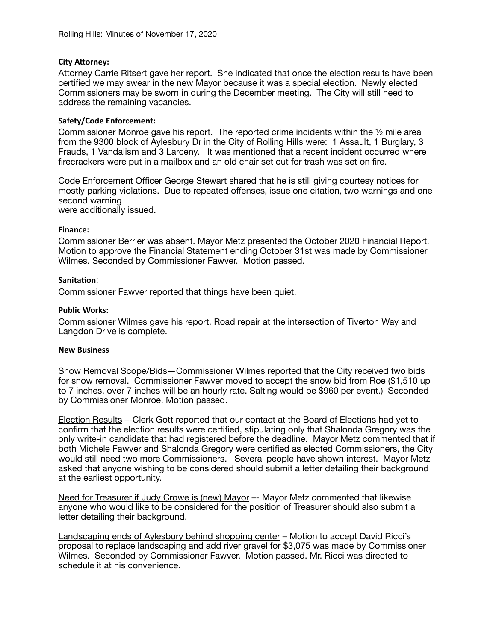### **City Attorney:**

Attorney Carrie Ritsert gave her report. She indicated that once the election results have been certified we may swear in the new Mayor because it was a special election. Newly elected Commissioners may be sworn in during the December meeting. The City will still need to address the remaining vacancies.

## **Safety/Code Enforcement:**

Commissioner Monroe gave his report. The reported crime incidents within the ½ mile area from the 9300 block of Aylesbury Dr in the City of Rolling Hills were: 1 Assault, 1 Burglary, 3 Frauds, 1 Vandalism and 3 Larceny. It was mentioned that a recent incident occurred where firecrackers were put in a mailbox and an old chair set out for trash was set on fire.

Code Enforcement Officer George Stewart shared that he is still giving courtesy notices for mostly parking violations. Due to repeated offenses, issue one citation, two warnings and one second warning

were additionally issued.

#### **Finance:**

Commissioner Berrier was absent. Mayor Metz presented the October 2020 Financial Report. Motion to approve the Financial Statement ending October 31st was made by Commissioner Wilmes. Seconded by Commissioner Fawver. Motion passed.

## **Sanitation:**

Commissioner Fawver reported that things have been quiet.

#### **Public Works:**

Commissioner Wilmes gave his report. Road repair at the intersection of Tiverton Way and Langdon Drive is complete.

#### **New Business**

Snow Removal Scope/Bids—Commissioner Wilmes reported that the City received two bids for snow removal. Commissioner Fawver moved to accept the snow bid from Roe (\$1,510 up to 7 inches, over 7 inches will be an hourly rate. Salting would be \$960 per event.) Seconded by Commissioner Monroe. Motion passed.

Election Results –-Clerk Gott reported that our contact at the Board of Elections had yet to confirm that the election results were certified, stipulating only that Shalonda Gregory was the only write-in candidate that had registered before the deadline. Mayor Metz commented that if both Michele Fawver and Shalonda Gregory were certified as elected Commissioners, the City would still need two more Commissioners. Several people have shown interest. Mayor Metz asked that anyone wishing to be considered should submit a letter detailing their background at the earliest opportunity.

Need for Treasurer if Judy Crowe is (new) Mayor –– Mayor Metz commented that likewise anyone who would like to be considered for the position of Treasurer should also submit a letter detailing their background.

Landscaping ends of Aylesbury behind shopping center – Motion to accept David Ricci's proposal to replace landscaping and add river gravel for \$3,075 was made by Commissioner Wilmes. Seconded by Commissioner Fawver. Motion passed. Mr. Ricci was directed to schedule it at his convenience.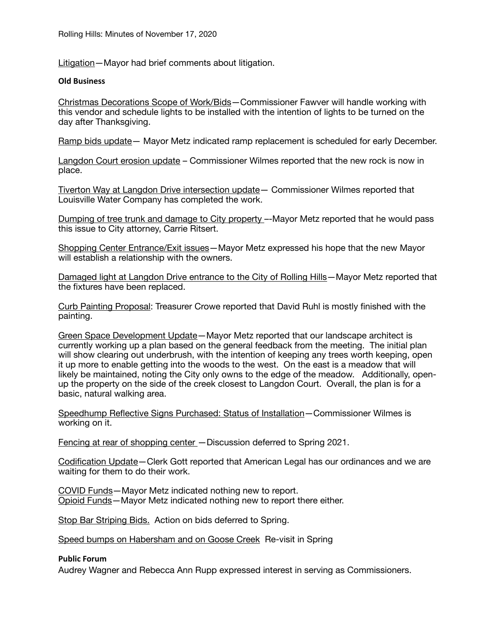Litigation—Mayor had brief comments about litigation.

#### **Old Business**

Christmas Decorations Scope of Work/Bids—Commissioner Fawver will handle working with this vendor and schedule lights to be installed with the intention of lights to be turned on the day after Thanksgiving.

Ramp bids update— Mayor Metz indicated ramp replacement is scheduled for early December.

Langdon Court erosion update – Commissioner Wilmes reported that the new rock is now in place.

Tiverton Way at Langdon Drive intersection update— Commissioner Wilmes reported that Louisville Water Company has completed the work.

Dumping of tree trunk and damage to City property –-Mayor Metz reported that he would pass this issue to City attorney, Carrie Ritsert.

Shopping Center Entrance/Exit issues—Mayor Metz expressed his hope that the new Mayor will establish a relationship with the owners.

Damaged light at Langdon Drive entrance to the City of Rolling Hills—Mayor Metz reported that the fixtures have been replaced.

Curb Painting Proposal: Treasurer Crowe reported that David Ruhl is mostly finished with the painting.

Green Space Development Update—Mayor Metz reported that our landscape architect is currently working up a plan based on the general feedback from the meeting. The initial plan will show clearing out underbrush, with the intention of keeping any trees worth keeping, open it up more to enable getting into the woods to the west. On the east is a meadow that will likely be maintained, noting the City only owns to the edge of the meadow. Additionally, openup the property on the side of the creek closest to Langdon Court. Overall, the plan is for a basic, natural walking area.

Speedhump Reflective Signs Purchased: Status of Installation—Commissioner Wilmes is working on it.

Fencing at rear of shopping center – Discussion deferred to Spring 2021.

Codification Update—Clerk Gott reported that American Legal has our ordinances and we are waiting for them to do their work.

COVID Funds—Mayor Metz indicated nothing new to report. Opioid Funds—Mayor Metz indicated nothing new to report there either.

Stop Bar Striping Bids. Action on bids deferred to Spring.

Speed bumps on Habersham and on Goose Creek Re-visit in Spring

#### **Public Forum**

Audrey Wagner and Rebecca Ann Rupp expressed interest in serving as Commissioners.